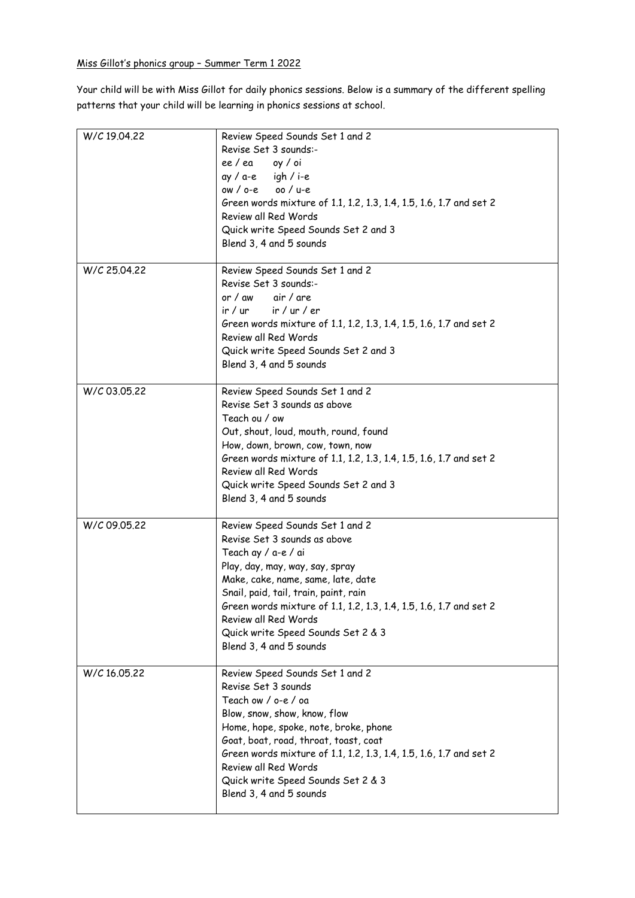Your child will be with Miss Gillot for daily phonics sessions. Below is a summary of the different spelling patterns that your child will be learning in phonics sessions at school.

| W/C 19.04.22 | Review Speed Sounds Set 1 and 2<br>Revise Set 3 sounds:-<br>ee/ea oy/oi<br>$ay / a-e$ igh / i-e<br>$ow / oc = 00 / u-e$<br>Green words mixture of 1.1, 1.2, 1.3, 1.4, 1.5, 1.6, 1.7 and set 2<br>Review all Red Words<br>Quick write Speed Sounds Set 2 and 3<br>Blend 3, 4 and 5 sounds                                                                                |
|--------------|-------------------------------------------------------------------------------------------------------------------------------------------------------------------------------------------------------------------------------------------------------------------------------------------------------------------------------------------------------------------------|
| W/C 25.04.22 | Review Speed Sounds Set 1 and 2<br>Revise Set 3 sounds:-<br>or / aw<br>air / are<br>$ir / ur$ $ir / ur / er$<br>Green words mixture of 1.1, 1.2, 1.3, 1.4, 1.5, 1.6, 1.7 and set 2<br>Review all Red Words<br>Quick write Speed Sounds Set 2 and 3<br>Blend 3, 4 and 5 sounds                                                                                           |
| W/C 03.05.22 | Review Speed Sounds Set 1 and 2<br>Revise Set 3 sounds as above<br>Teach ou / ow<br>Out, shout, loud, mouth, round, found<br>How, down, brown, cow, town, now<br>Green words mixture of 1.1, 1.2, 1.3, 1.4, 1.5, 1.6, 1.7 and set 2<br>Review all Red Words<br>Quick write Speed Sounds Set 2 and 3<br>Blend 3, 4 and 5 sounds                                          |
| W/C 09.05.22 | Review Speed Sounds Set 1 and 2<br>Revise Set 3 sounds as above<br>Teach ay / a-e / ai<br>Play, day, may, way, say, spray<br>Make, cake, name, same, late, date<br>Snail, paid, tail, train, paint, rain<br>Green words mixture of 1.1, 1.2, 1.3, 1.4, 1.5, 1.6, 1.7 and set 2<br>Review all Red Words<br>Quick write Speed Sounds Set 2 & 3<br>Blend 3, 4 and 5 sounds |
| W/C 16.05.22 | Review Speed Sounds Set 1 and 2<br>Revise Set 3 sounds<br>Teach ow / o-e / oa<br>Blow, snow, show, know, flow<br>Home, hope, spoke, note, broke, phone<br>Goat, boat, road, throat, toast, coat<br>Green words mixture of 1.1, 1.2, 1.3, 1.4, 1.5, 1.6, 1.7 and set 2<br>Review all Red Words<br>Quick write Speed Sounds Set 2 & 3<br>Blend 3, 4 and 5 sounds          |